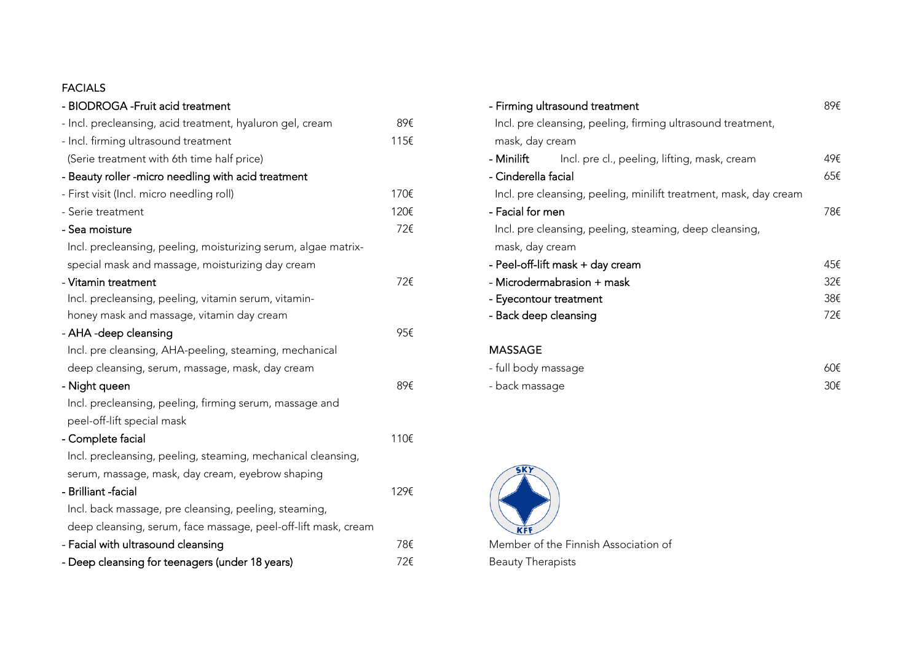### FACIALS

| - BIODROGA - Fruit acid treatment                              |      | - Firming ultrasound treatment                                    | 89€ |
|----------------------------------------------------------------|------|-------------------------------------------------------------------|-----|
| - Incl. precleansing, acid treatment, hyaluron gel, cream      | 89€  | Incl. pre cleansing, peeling, firming ultrasound treatment,       |     |
| - Incl. firming ultrasound treatment                           | 115€ | mask, day cream                                                   |     |
| (Serie treatment with 6th time half price)                     |      | - Minilift<br>Incl. pre cl., peeling, lifting, mask, cream        | 49€ |
| - Beauty roller -micro needling with acid treatment            |      | - Cinderella facial                                               | 65€ |
| - First visit (Incl. micro needling roll)                      | 170€ | Incl. pre cleansing, peeling, minilift treatment, mask, day cream |     |
| - Serie treatment                                              | 120€ | - Facial for men                                                  | 78€ |
| - Sea moisture                                                 | 72€  | Incl. pre cleansing, peeling, steaming, deep cleansing,           |     |
| Incl. precleansing, peeling, moisturizing serum, algae matrix- |      | mask, day cream                                                   |     |
| special mask and massage, moisturizing day cream               |      | - Peel-off-lift mask + day cream                                  | 45€ |
| - Vitamin treatment                                            | 72€  | - Microdermabrasion + mask                                        | 32€ |
| Incl. precleansing, peeling, vitamin serum, vitamin-           |      | - Eyecontour treatment                                            | 38€ |
| honey mask and massage, vitamin day cream                      |      | - Back deep cleansing                                             | 72€ |
| - AHA -deep cleansing                                          | 95€  |                                                                   |     |
| Incl. pre cleansing, AHA-peeling, steaming, mechanical         |      | <b>MASSAGE</b>                                                    |     |
| deep cleansing, serum, massage, mask, day cream                |      | - full body massage                                               | 60€ |
| - Night queen                                                  | 89€  | - back massage                                                    | 30€ |
| Incl. precleansing, peeling, firming serum, massage and        |      |                                                                   |     |
| peel-off-lift special mask                                     |      |                                                                   |     |
| - Complete facial                                              | 110€ |                                                                   |     |
| Incl. precleansing, peeling, steaming, mechanical cleansing,   |      |                                                                   |     |
| serum, massage, mask, day cream, eyebrow shaping               |      |                                                                   |     |
| - Brilliant -facial                                            | 129€ |                                                                   |     |
| Incl. back massage, pre cleansing, peeling, steaming,          |      |                                                                   |     |
| deep cleansing, serum, face massage, peel-off-lift mask, cream |      |                                                                   |     |
| - Facial with ultrasound cleansing                             | 78€  | Member of the Finnish Association of                              |     |
| - Deep cleansing for teenagers (under 18 years)                | 72€  | <b>Beauty Therapists</b>                                          |     |
|                                                                |      |                                                                   |     |

| - Firming ultrasound treatment |                                                                   | 89€ |
|--------------------------------|-------------------------------------------------------------------|-----|
|                                | Incl. pre cleansing, peeling, firming ultrasound treatment,       |     |
| mask, day cream                |                                                                   |     |
| - Minilift                     | Incl. pre cl., peeling, lifting, mask, cream                      | 49€ |
| - Cinderella facial            |                                                                   | 65€ |
|                                | Incl. pre cleansing, peeling, minilift treatment, mask, day cream |     |
| - Facial for men               |                                                                   | 78€ |
|                                | Incl. pre cleansing, peeling, steaming, deep cleansing,           |     |
| mask, day cream                |                                                                   |     |
|                                | - Peel-off-lift mask + day cream                                  | 45€ |
| - Microdermabrasion + mask     |                                                                   | 32€ |
| - Eyecontour treatment         |                                                                   | 38€ |
| - Back deep cleansing          |                                                                   | 72€ |
|                                |                                                                   |     |
| <b>MASSAGE</b>                 |                                                                   |     |
| - full body massage            |                                                                   | 60€ |
| - back massage                 |                                                                   | 30€ |

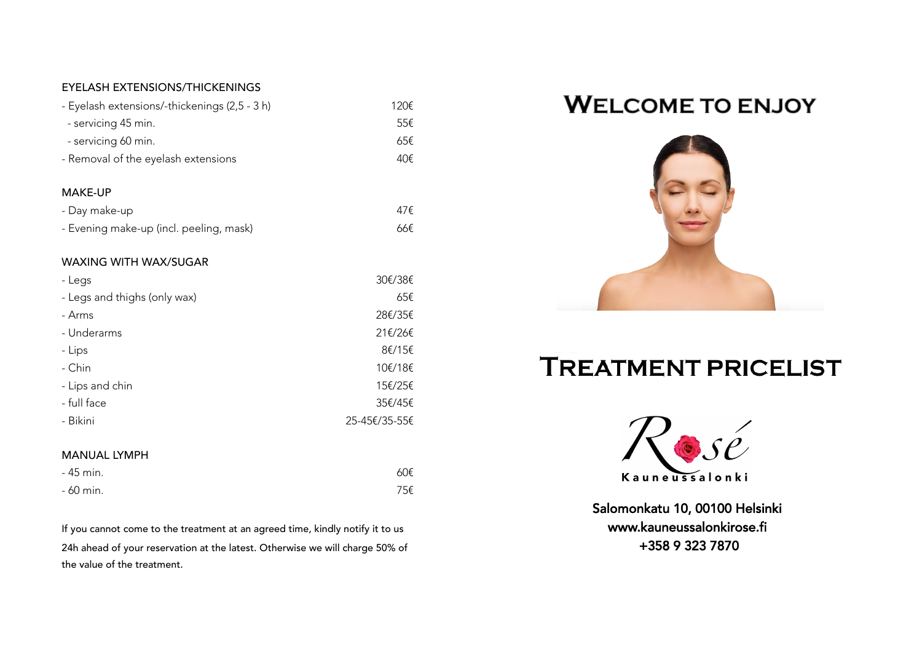#### EYELASH EXTENSIONS/THICKENINGS

MANUAL LYMPH

| - Eyelash extensions/-thickenings (2,5 - 3 h) | 120€    |
|-----------------------------------------------|---------|
| - servicing 45 min.                           | 55€     |
| - servicing 60 min.                           | 65€     |
| - Removal of the eyelash extensions           | 40€     |
| <b>MAKE-UP</b>                                |         |
| - Day make-up                                 | 47€     |
| - Evening make-up (incl. peeling, mask)       | 66€     |
| <b>WAXING WITH WAX/SUGAR</b>                  |         |
| - Legs                                        | 30€/38€ |
| - Legs and thighs (only wax)                  | 65€     |
| - Arms                                        | 28€/35€ |
| - Underarms                                   | 21€/26€ |
| - Lips                                        | 8€/15€  |
| - Chin                                        | 10€/18€ |

- Lips and chin 15€/25€ - full face 35€/45€ - Bikini 25-45€/35-55€

 $-45$  min. 60€  $-$  60 min. 75€

## **WELCOME TO ENJOY**



# **TREATMENT PRICELIST**



Salomonkatu 10, 00100 Helsinki

If you cannot come to the treatment at an agreed time, kindly notify it to us **www.kauneussalonkirose.fi** 24h ahead of your reservation at the latest. Otherwise we will charge 50% of **+358 9 323 7870** the value of the treatment.